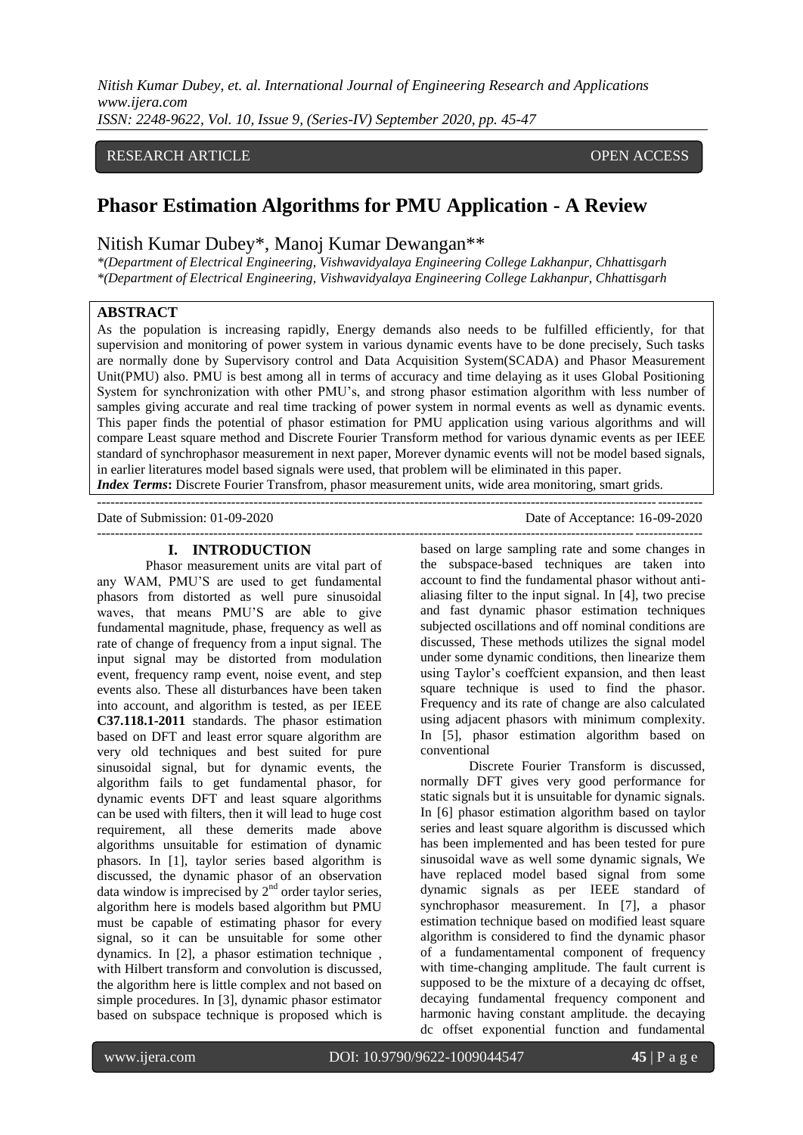*Nitish Kumar Dubey, et. al. International Journal of Engineering Research and Applications www.ijera.com ISSN: 2248-9622, Vol. 10, Issue 9, (Series-IV) September 2020, pp. 45-47*

## RESEARCH ARTICLE **CONTRACT OPEN ACCESS**

# **Phasor Estimation Algorithms for PMU Application - A Review**

# Nitish Kumar Dubey\*, Manoj Kumar Dewangan\*\*

*\*(Department of Electrical Engineering, Vishwavidyalaya Engineering College Lakhanpur, Chhattisgarh \*(Department of Electrical Engineering, Vishwavidyalaya Engineering College Lakhanpur, Chhattisgarh*

## **ABSTRACT**

As the population is increasing rapidly, Energy demands also needs to be fulfilled efficiently, for that supervision and monitoring of power system in various dynamic events have to be done precisely, Such tasks are normally done by Supervisory control and Data Acquisition System(SCADA) and Phasor Measurement Unit(PMU) also. PMU is best among all in terms of accuracy and time delaying as it uses Global Positioning System for synchronization with other PMU's, and strong phasor estimation algorithm with less number of samples giving accurate and real time tracking of power system in normal events as well as dynamic events. This paper finds the potential of phasor estimation for PMU application using various algorithms and will compare Least square method and Discrete Fourier Transform method for various dynamic events as per IEEE standard of synchrophasor measurement in next paper, Morever dynamic events will not be model based signals, in earlier literatures model based signals were used, that problem will be eliminated in this paper.

*Index Terms***:** Discrete Fourier Transfrom, phasor measurement units, wide area monitoring, smart grids.  $-1.1$ 

Date of Submission: 01-09-2020 Date of Acceptance: 16-09-2020 ---------------------------------------------------------------------------------------------------------------------------------------

## **I. INTRODUCTION**

Phasor measurement units are vital part of any WAM, PMU'S are used to get fundamental phasors from distorted as well pure sinusoidal waves, that means PMU'S are able to give fundamental magnitude, phase, frequency as well as rate of change of frequency from a input signal. The input signal may be distorted from modulation event, frequency ramp event, noise event, and step events also. These all disturbances have been taken into account, and algorithm is tested, as per IEEE **C37.118.1-2011** standards. The phasor estimation based on DFT and least error square algorithm are very old techniques and best suited for pure sinusoidal signal, but for dynamic events, the algorithm fails to get fundamental phasor, for dynamic events DFT and least square algorithms can be used with filters, then it will lead to huge cost requirement, all these demerits made above algorithms unsuitable for estimation of dynamic phasors. In [1], taylor series based algorithm is discussed, the dynamic phasor of an observation data window is imprecised by  $2<sup>nd</sup>$  order taylor series, algorithm here is models based algorithm but PMU must be capable of estimating phasor for every signal, so it can be unsuitable for some other dynamics. In [2], a phasor estimation technique , with Hilbert transform and convolution is discussed, the algorithm here is little complex and not based on simple procedures. In [3], dynamic phasor estimator based on subspace technique is proposed which is

based on large sampling rate and some changes in the subspace-based techniques are taken into account to find the fundamental phasor without antialiasing filter to the input signal. In [4], two precise and fast dynamic phasor estimation techniques subjected oscillations and off nominal conditions are discussed, These methods utilizes the signal model under some dynamic conditions, then linearize them using Taylor's coeffcient expansion, and then least square technique is used to find the phasor. Frequency and its rate of change are also calculated using adjacent phasors with minimum complexity. In [5], phasor estimation algorithm based on conventional

Discrete Fourier Transform is discussed, normally DFT gives very good performance for static signals but it is unsuitable for dynamic signals. In [6] phasor estimation algorithm based on taylor series and least square algorithm is discussed which has been implemented and has been tested for pure sinusoidal wave as well some dynamic signals, We have replaced model based signal from some dynamic signals as per IEEE standard of synchrophasor measurement. In [7], a phasor estimation technique based on modified least square algorithm is considered to find the dynamic phasor of a fundamentamental component of frequency with time-changing amplitude. The fault current is supposed to be the mixture of a decaying dc offset, decaying fundamental frequency component and harmonic having constant amplitude. the decaying dc offset exponential function and fundamental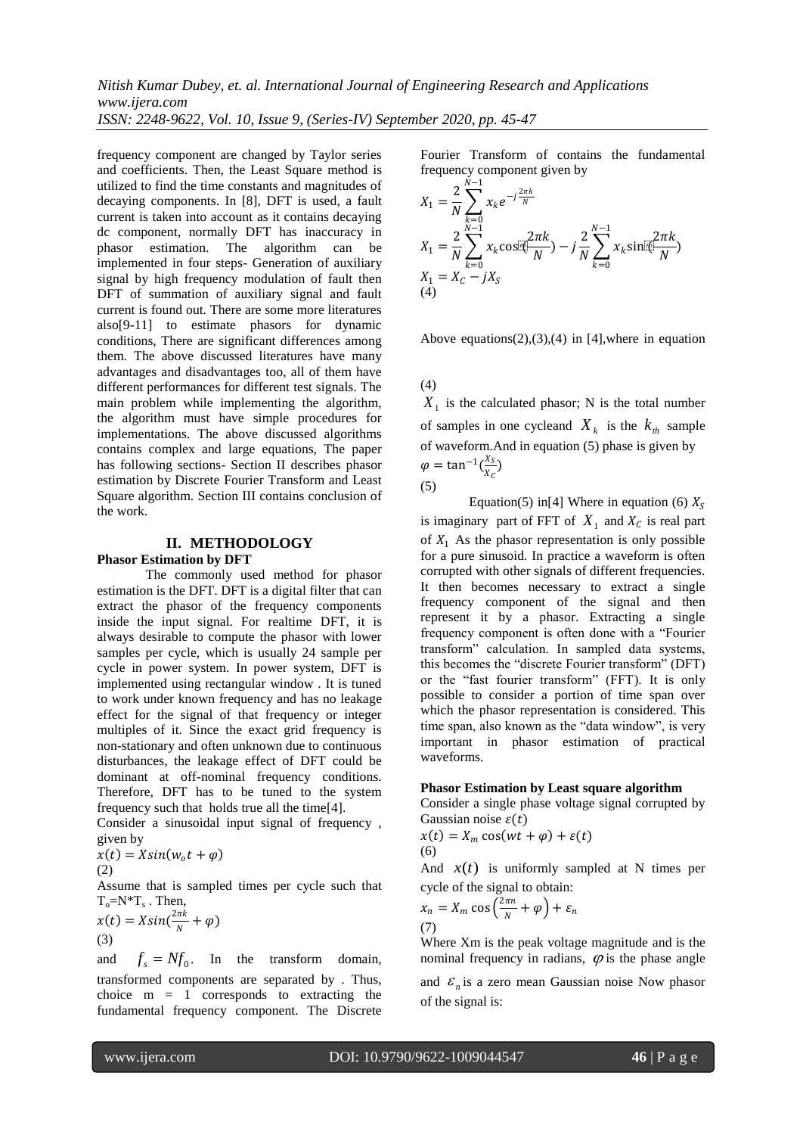*Nitish Kumar Dubey, et. al. International Journal of Engineering Research and Applications www.ijera.com ISSN: 2248-9622, Vol. 10, Issue 9, (Series-IV) September 2020, pp. 45-47*

frequency component are changed by Taylor series and coefficients. Then, the Least Square method is utilized to find the time constants and magnitudes of decaying components. In [8], DFT is used, a fault current is taken into account as it contains decaying dc component, normally DFT has inaccuracy in phasor estimation. The algorithm can be implemented in four steps- Generation of auxiliary signal by high frequency modulation of fault then DFT of summation of auxiliary signal and fault current is found out. There are some more literatures also[9-11] to estimate phasors for dynamic conditions, There are significant differences among them. The above discussed literatures have many advantages and disadvantages too, all of them have different performances for different test signals. The main problem while implementing the algorithm, the algorithm must have simple procedures for implementations. The above discussed algorithms contains complex and large equations, The paper has following sections- Section II describes phasor estimation by Discrete Fourier Transform and Least Square algorithm. Section III contains conclusion of the work.

#### **II. METHODOLOGY**

#### **Phasor Estimation by DFT**

The commonly used method for phasor estimation is the DFT. DFT is a digital filter that can extract the phasor of the frequency components inside the input signal. For realtime DFT, it is always desirable to compute the phasor with lower samples per cycle, which is usually 24 sample per cycle in power system. In power system, DFT is implemented using rectangular window . It is tuned to work under known frequency and has no leakage effect for the signal of that frequency or integer multiples of it. Since the exact grid frequency is non-stationary and often unknown due to continuous disturbances, the leakage effect of DFT could be dominant at off-nominal frequency conditions. Therefore, DFT has to be tuned to the system frequency such that holds true all the time[4].

Consider a sinusoidal input signal of frequency , given by

$$
x(t) = X\sin(w_0 t + \varphi)
$$
  
(2)

Assume that is sampled times per cycle such that  $T_o = N^*T_s$ . Then,

$$
x(t) = X\sin(\frac{2\pi k}{N} + \varphi)
$$
  
(3)

and  $f_s = Nf_0$ . In the transform domain, transformed components are separated by . Thus, choice  $m = 1$  corresponds to extracting the fundamental frequency component. The Discrete

Fourier Transform of contains the fundamental frequency component given by

$$
X_1 = \frac{2}{N} \sum_{k=0}^{N-1} x_k e^{-j\frac{2\pi k}{N}}
$$
  
\n
$$
X_1 = \frac{2}{N} \sum_{k=0}^{N-1} x_k \cos\left(\frac{2\pi k}{N}\right) - j\frac{2}{N} \sum_{k=0}^{N-1} x_k \sin\left(\frac{2\pi k}{N}\right)
$$
  
\n
$$
X_1 = X_c - jX_S
$$
  
\n(4)

Above equations(2),(3),(4) in [4], where in equation

(4)

 $X_1$  is the calculated phasor; N is the total number of samples in one cycleand  $X_k$  is the  $k_{th}$  sample of waveform.And in equation (5) phase is given by  $\varphi = \tan^{-1}(\frac{X_S}{r})$  $\frac{dS}{dX_C}$ (5)

Equation(5) in[4] Where in equation (6)  $X_s$ is imaginary part of FFT of  $X_1$  and  $X_C$  is real part of  $X_1$ . As the phasor representation is only possible for a pure sinusoid. In practice a waveform is often corrupted with other signals of different frequencies. It then becomes necessary to extract a single frequency component of the signal and then represent it by a phasor. Extracting a single frequency component is often done with a "Fourier transform" calculation. In sampled data systems, this becomes the "discrete Fourier transform" (DFT) or the "fast fourier transform" (FFT). It is only possible to consider a portion of time span over which the phasor representation is considered. This time span, also known as the "data window", is very important in phasor estimation of practical waveforms.

#### **Phasor Estimation by Least square algorithm**

Consider a single phase voltage signal corrupted by Gaussian noise  $\varepsilon(t)$ 

$$
x(t) = X_m \cos(wt + \varphi) + \varepsilon(t)
$$
  
(6)

And  $x(t)$  is uniformly sampled at N times per cycle of the signal to obtain:

$$
x_n = X_m \cos\left(\frac{2\pi n}{N} + \varphi\right) + \varepsilon_n
$$
\n(7)

Where Xm is the peak voltage magnitude and is the nominal frequency in radians,  $\varphi$  is the phase angle and  $\varepsilon_n$  is a zero mean Gaussian noise Now phasor of the signal is: